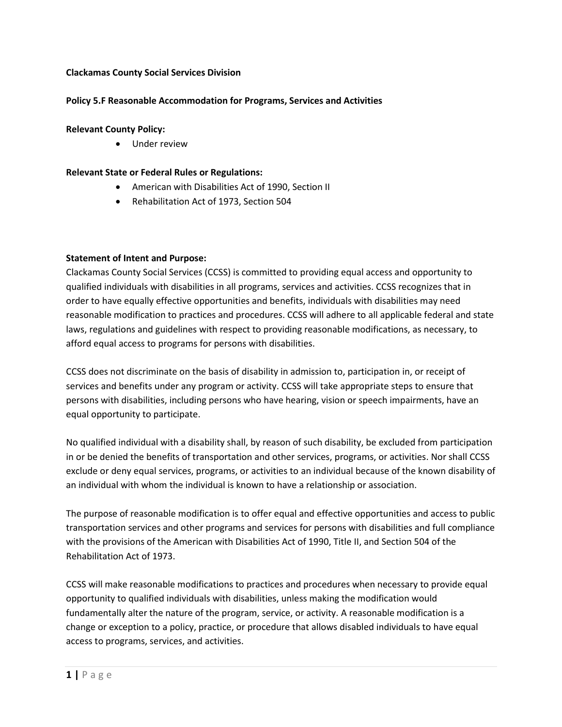## **Clackamas County Social Services Division**

# **Policy 5.F Reasonable Accommodation for Programs, Services and Activities**

## **Relevant County Policy:**

• Under review

# **Relevant State or Federal Rules or Regulations:**

- American with Disabilities Act of 1990, Section II
- Rehabilitation Act of 1973, Section 504

#### **Statement of Intent and Purpose:**

Clackamas County Social Services (CCSS) is committed to providing equal access and opportunity to qualified individuals with disabilities in all programs, services and activities. CCSS recognizes that in order to have equally effective opportunities and benefits, individuals with disabilities may need reasonable modification to practices and procedures. CCSS will adhere to all applicable federal and state laws, regulations and guidelines with respect to providing reasonable modifications, as necessary, to afford equal access to programs for persons with disabilities.

CCSS does not discriminate on the basis of disability in admission to, participation in, or receipt of services and benefits under any program or activity. CCSS will take appropriate steps to ensure that persons with disabilities, including persons who have hearing, vision or speech impairments, have an equal opportunity to participate.

No qualified individual with a disability shall, by reason of such disability, be excluded from participation in or be denied the benefits of transportation and other services, programs, or activities. Nor shall CCSS exclude or deny equal services, programs, or activities to an individual because of the known disability of an individual with whom the individual is known to have a relationship or association.

The purpose of reasonable modification is to offer equal and effective opportunities and access to public transportation services and other programs and services for persons with disabilities and full compliance with the provisions of the American with Disabilities Act of 1990, Title II, and Section 504 of the Rehabilitation Act of 1973.

CCSS will make reasonable modifications to practices and procedures when necessary to provide equal opportunity to qualified individuals with disabilities, unless making the modification would fundamentally alter the nature of the program, service, or activity. A reasonable modification is a change or exception to a policy, practice, or procedure that allows disabled individuals to have equal access to programs, services, and activities.